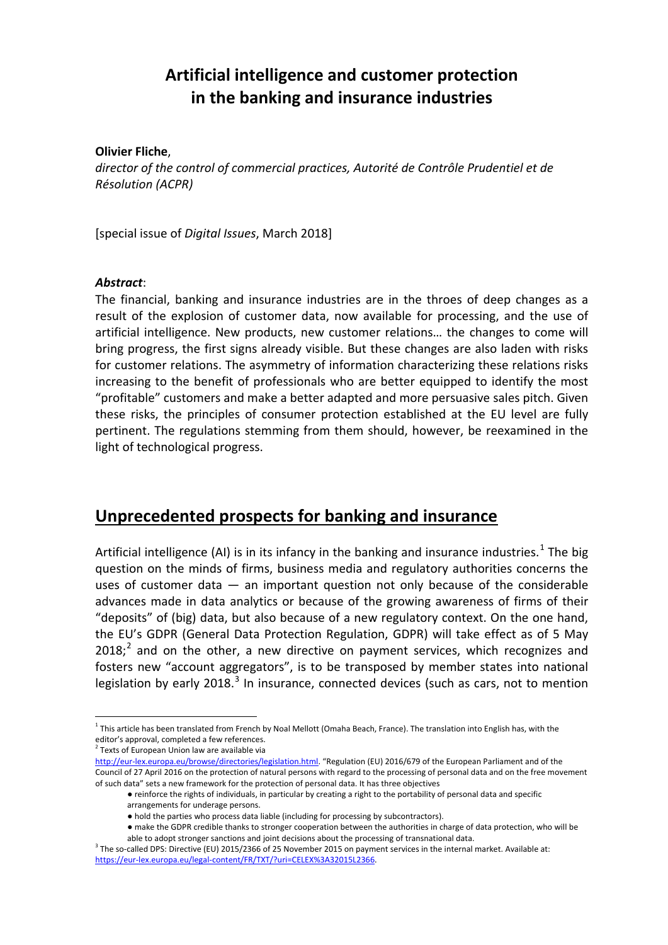# **Artificial intelligence and customer protection in the banking and insurance industries**

#### **Olivier Fliche**,

*director of the control of commercial practices, Autorité de Contrôle Prudentiel et de Résolution (ACPR)*

[special issue of *Digital Issues*, March 2018]

### *Abstract*:

The financial, banking and insurance industries are in the throes of deep changes as a result of the explosion of customer data, now available for processing, and the use of artificial intelligence. New products, new customer relations… the changes to come will bring progress, the first signs already visible. But these changes are also laden with risks for customer relations. The asymmetry of information characterizing these relations risks increasing to the benefit of professionals who are better equipped to identify the most "profitable" customers and make a better adapted and more persuasive sales pitch. Given these risks, the principles of consumer protection established at the EU level are fully pertinent. The regulations stemming from them should, however, be reexamined in the light of technological progress.

### **Unprecedented prospects for banking and insurance**

Artificial intelligence (AI) is in its infancy in the banking and insurance industries.<sup>[1](#page-0-0)</sup> The big question on the minds of firms, business media and regulatory authorities concerns the uses of customer data  $-$  an important question not only because of the considerable advances made in data analytics or because of the growing awareness of firms of their "deposits" of (big) data, but also because of a new regulatory context. On the one hand, the EU's GDPR (General Data Protection Regulation, GDPR) will take effect as of 5 May  $2018$  $2018$ ;<sup>2</sup> and on the other, a new directive on payment services, which recognizes and fosters new "account aggregators", is to be transposed by member states into national legislation by early 2018. $3$  In insurance, connected devices (such as cars, not to mention

<span id="page-0-0"></span> $1$  This article has been translated from French by Noal Mellott (Omaha Beach, France). The translation into English has, with the editor's approval, completed a few references.

 $2$  Texts of European Union law are available via

<span id="page-0-1"></span>[http://eur-lex.europa.eu/browse/directories/legislation.html.](http://eur-lex.europa.eu/browse/directories/legislation.html) "Regulation (EU) 2016/679 of the European Parliament and of the Council of 27 April 2016 on the protection of natural persons with regard to the processing of personal data and on the free movement of such data" sets a new framework for the protection of personal data. It has three objectives

<sup>●</sup> reinforce the rights of individuals, in particular by creating a right to the portability of personal data and specific arrangements for underage persons.

<sup>●</sup> hold the parties who process data liable (including for processing by subcontractors).

<sup>●</sup> make the GDPR credible thanks to stronger cooperation between the authorities in charge of data protection, who will be able to adopt stronger sanctions and joint decisions about the processing of transnational data.

<span id="page-0-2"></span> $3$  The so-called DPS: Directive (EU) 2015/2366 of 25 November 2015 on payment services in the internal market. Available at: [https://eur-lex.europa.eu/legal-content/FR/TXT/?uri=CELEX%3A32015L2366.](https://eur-lex.europa.eu/legal-content/FR/TXT/?uri=CELEX%3A32015L2366)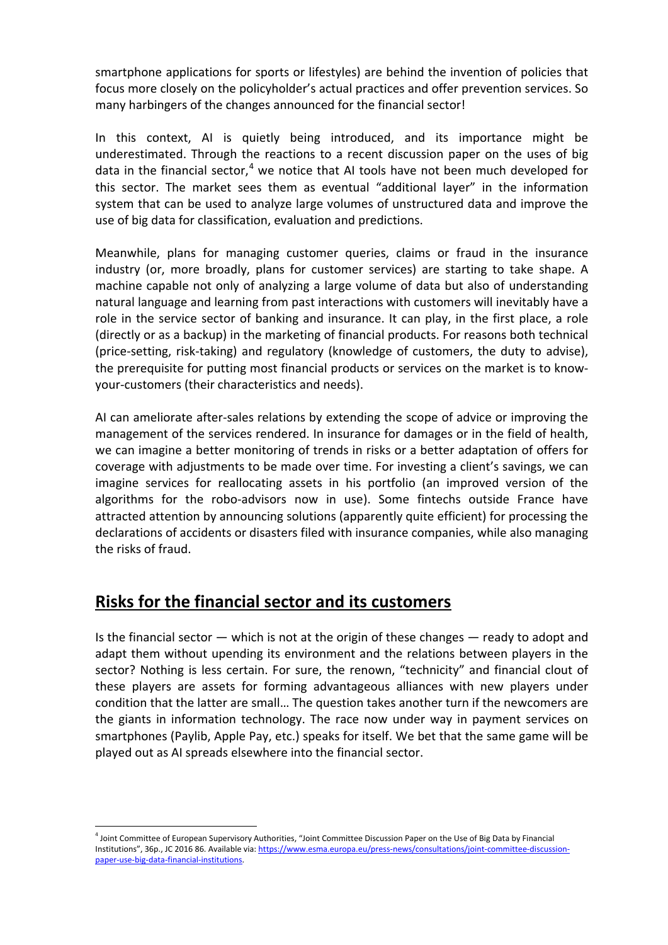smartphone applications for sports or lifestyles) are behind the invention of policies that focus more closely on the policyholder's actual practices and offer prevention services. So many harbingers of the changes announced for the financial sector!

In this context, AI is quietly being introduced, and its importance might be underestimated. Through the reactions to a recent discussion paper on the uses of big data in the financial sector, $4$  we notice that AI tools have not been much developed for this sector. The market sees them as eventual "additional layer" in the information system that can be used to analyze large volumes of unstructured data and improve the use of big data for classification, evaluation and predictions.

Meanwhile, plans for managing customer queries, claims or fraud in the insurance industry (or, more broadly, plans for customer services) are starting to take shape. A machine capable not only of analyzing a large volume of data but also of understanding natural language and learning from past interactions with customers will inevitably have a role in the service sector of banking and insurance. It can play, in the first place, a role (directly or as a backup) in the marketing of financial products. For reasons both technical (price-setting, risk-taking) and regulatory (knowledge of customers, the duty to advise), the prerequisite for putting most financial products or services on the market is to knowyour-customers (their characteristics and needs).

AI can ameliorate after-sales relations by extending the scope of advice or improving the management of the services rendered. In insurance for damages or in the field of health, we can imagine a better monitoring of trends in risks or a better adaptation of offers for coverage with adjustments to be made over time. For investing a client's savings, we can imagine services for reallocating assets in his portfolio (an improved version of the algorithms for the robo-advisors now in use). Some fintechs outside France have attracted attention by announcing solutions (apparently quite efficient) for processing the declarations of accidents or disasters filed with insurance companies, while also managing the risks of fraud.

# **Risks for the financial sector and its customers**

Is the financial sector  $-$  which is not at the origin of these changes  $-$  ready to adopt and adapt them without upending its environment and the relations between players in the sector? Nothing is less certain. For sure, the renown, "technicity" and financial clout of these players are assets for forming advantageous alliances with new players under condition that the latter are small… The question takes another turn if the newcomers are the giants in information technology. The race now under way in payment services on smartphones (Paylib, Apple Pay, etc.) speaks for itself. We bet that the same game will be played out as AI spreads elsewhere into the financial sector.

<span id="page-1-0"></span><sup>4</sup> Joint Committee of European Supervisory Authorities, "Joint Committee Discussion Paper on the Use of Big Data by Financial Institutions", 36p., JC 2016 86. Available via: [https://www.esma.europa.eu/press-news/consultations/joint-committee-discussion](https://www.esma.europa.eu/press-news/consultations/joint-committee-discussion-paper-use-big-data-financial-institutions)[paper-use-big-data-financial-institutions.](https://www.esma.europa.eu/press-news/consultations/joint-committee-discussion-paper-use-big-data-financial-institutions)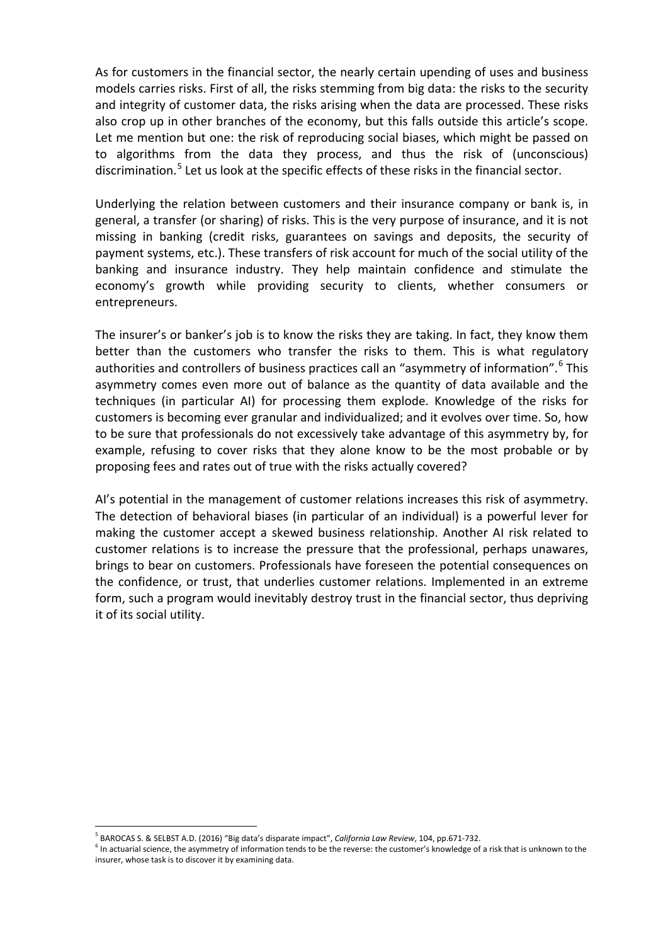As for customers in the financial sector, the nearly certain upending of uses and business models carries risks. First of all, the risks stemming from big data: the risks to the security and integrity of customer data, the risks arising when the data are processed. These risks also crop up in other branches of the economy, but this falls outside this article's scope. Let me mention but one: the risk of reproducing social biases, which might be passed on to algorithms from the data they process, and thus the risk of (unconscious) discrimination.<sup>[5](#page-2-0)</sup> Let us look at the specific effects of these risks in the financial sector.

Underlying the relation between customers and their insurance company or bank is, in general, a transfer (or sharing) of risks. This is the very purpose of insurance, and it is not missing in banking (credit risks, guarantees on savings and deposits, the security of payment systems, etc.). These transfers of risk account for much of the social utility of the banking and insurance industry. They help maintain confidence and stimulate the economy's growth while providing security to clients, whether consumers or entrepreneurs.

The insurer's or banker's job is to know the risks they are taking. In fact, they know them better than the customers who transfer the risks to them. This is what regulatory authorities and controllers of business practices call an "asymmetry of information".<sup>[6](#page-2-1)</sup> This asymmetry comes even more out of balance as the quantity of data available and the techniques (in particular AI) for processing them explode. Knowledge of the risks for customers is becoming ever granular and individualized; and it evolves over time. So, how to be sure that professionals do not excessively take advantage of this asymmetry by, for example, refusing to cover risks that they alone know to be the most probable or by proposing fees and rates out of true with the risks actually covered?

AI's potential in the management of customer relations increases this risk of asymmetry. The detection of behavioral biases (in particular of an individual) is a powerful lever for making the customer accept a skewed business relationship. Another AI risk related to customer relations is to increase the pressure that the professional, perhaps unawares, brings to bear on customers. Professionals have foreseen the potential consequences on the confidence, or trust, that underlies customer relations. Implemented in an extreme form, such a program would inevitably destroy trust in the financial sector, thus depriving it of its social utility.

<sup>5</sup> BAROCAS S. & SELBST A.D. (2016) "Big data's disparate impact", *California Law Review*, 104, pp.671-732.

<span id="page-2-1"></span><span id="page-2-0"></span> $6$  In actuarial science, the asymmetry of information tends to be the reverse: the customer's knowledge of a risk that is unknown to the insurer, whose task is to discover it by examining data.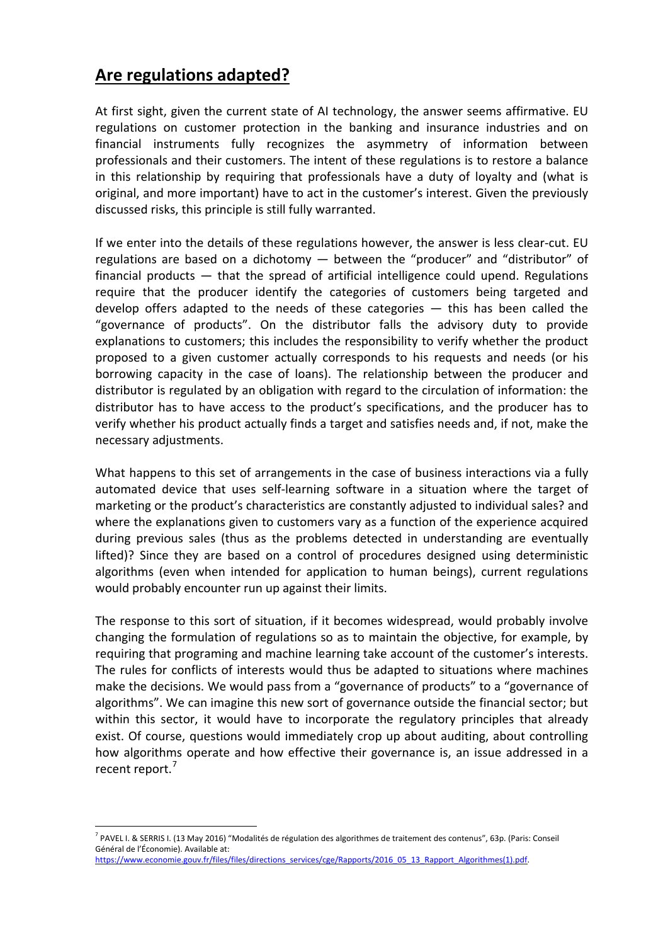# **Are regulations adapted?**

At first sight, given the current state of AI technology, the answer seems affirmative. EU regulations on customer protection in the banking and insurance industries and on financial instruments fully recognizes the asymmetry of information between professionals and their customers. The intent of these regulations is to restore a balance in this relationship by requiring that professionals have a duty of loyalty and (what is original, and more important) have to act in the customer's interest. Given the previously discussed risks, this principle is still fully warranted.

If we enter into the details of these regulations however, the answer is less clear-cut. EU regulations are based on a dichotomy — between the "producer" and "distributor" of financial products — that the spread of artificial intelligence could upend. Regulations require that the producer identify the categories of customers being targeted and develop offers adapted to the needs of these categories — this has been called the "governance of products". On the distributor falls the advisory duty to provide explanations to customers; this includes the responsibility to verify whether the product proposed to a given customer actually corresponds to his requests and needs (or his borrowing capacity in the case of loans). The relationship between the producer and distributor is regulated by an obligation with regard to the circulation of information: the distributor has to have access to the product's specifications, and the producer has to verify whether his product actually finds a target and satisfies needs and, if not, make the necessary adjustments.

What happens to this set of arrangements in the case of business interactions via a fully automated device that uses self-learning software in a situation where the target of marketing or the product's characteristics are constantly adjusted to individual sales? and where the explanations given to customers vary as a function of the experience acquired during previous sales (thus as the problems detected in understanding are eventually lifted)? Since they are based on a control of procedures designed using deterministic algorithms (even when intended for application to human beings), current regulations would probably encounter run up against their limits.

The response to this sort of situation, if it becomes widespread, would probably involve changing the formulation of regulations so as to maintain the objective, for example, by requiring that programing and machine learning take account of the customer's interests. The rules for conflicts of interests would thus be adapted to situations where machines make the decisions. We would pass from a "governance of products" to a "governance of algorithms". We can imagine this new sort of governance outside the financial sector; but within this sector, it would have to incorporate the regulatory principles that already exist. Of course, questions would immediately crop up about auditing, about controlling how algorithms operate and how effective their governance is, an issue addressed in a recent report.<sup>[7](#page-3-0)</sup>

<span id="page-3-0"></span><sup>7</sup> PAVEL I. & SERRIS I. (13 May 2016) "Modalités de régulation des algorithmes de traitement des contenus", 63p. (Paris: Conseil Général de l'Économie). Available at:

[https://www.economie.gouv.fr/files/files/directions\\_services/cge/Rapports/2016\\_05\\_13\\_Rapport\\_Algorithmes\(1\).pdf.](https://www.economie.gouv.fr/files/files/directions_services/cge/Rapports/2016_05_13_Rapport_Algorithmes(1).pdf)